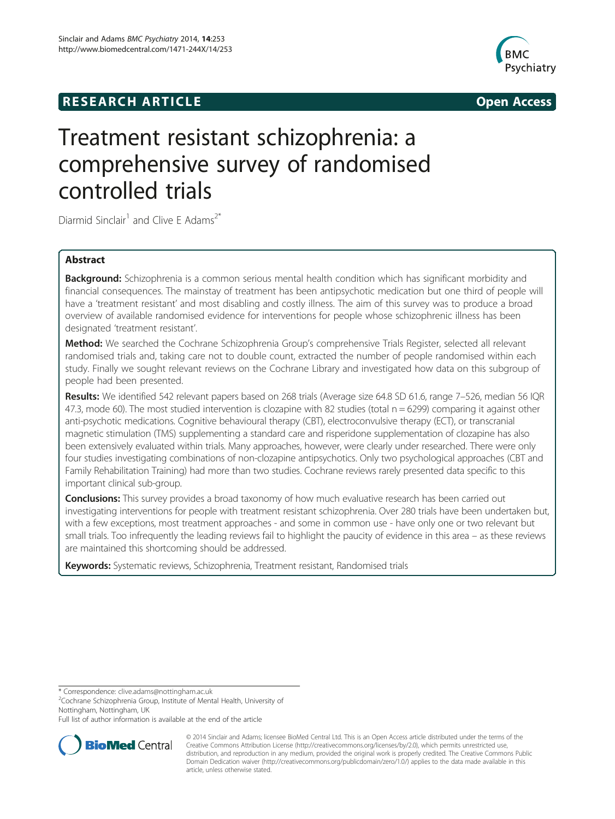# **RESEARCH ARTICLE Example 2008 Open Access**



# Treatment resistant schizophrenia: a comprehensive survey of randomised controlled trials

Diarmid Sinclair<sup>1</sup> and Clive E Adams<sup>2\*</sup>

# Abstract

Background: Schizophrenia is a common serious mental health condition which has significant morbidity and financial consequences. The mainstay of treatment has been antipsychotic medication but one third of people will have a 'treatment resistant' and most disabling and costly illness. The aim of this survey was to produce a broad overview of available randomised evidence for interventions for people whose schizophrenic illness has been designated 'treatment resistant'.

Method: We searched the Cochrane Schizophrenia Group's comprehensive Trials Register, selected all relevant randomised trials and, taking care not to double count, extracted the number of people randomised within each study. Finally we sought relevant reviews on the Cochrane Library and investigated how data on this subgroup of people had been presented.

Results: We identified 542 relevant papers based on 268 trials (Average size 64.8 SD 61.6, range 7–526, median 56 IQR 47.3, mode 60). The most studied intervention is clozapine with 82 studies (total  $n = 6299$ ) comparing it against other anti-psychotic medications. Cognitive behavioural therapy (CBT), electroconvulsive therapy (ECT), or transcranial magnetic stimulation (TMS) supplementing a standard care and risperidone supplementation of clozapine has also been extensively evaluated within trials. Many approaches, however, were clearly under researched. There were only four studies investigating combinations of non-clozapine antipsychotics. Only two psychological approaches (CBT and Family Rehabilitation Training) had more than two studies. Cochrane reviews rarely presented data specific to this important clinical sub-group.

Conclusions: This survey provides a broad taxonomy of how much evaluative research has been carried out investigating interventions for people with treatment resistant schizophrenia. Over 280 trials have been undertaken but, with a few exceptions, most treatment approaches - and some in common use - have only one or two relevant but small trials. Too infrequently the leading reviews fail to highlight the paucity of evidence in this area – as these reviews are maintained this shortcoming should be addressed.

Keywords: Systematic reviews, Schizophrenia, Treatment resistant, Randomised trials

\* Correspondence: [clive.adams@nottingham.ac.uk](mailto:clive.adams@nottingham.ac.uk) <sup>2</sup>

<sup>2</sup>Cochrane Schizophrenia Group, Institute of Mental Health, University of Nottingham, Nottingham, UK

Full list of author information is available at the end of the article



<sup>© 2014</sup> Sinclair and Adams; licensee BioMed Central Ltd. This is an Open Access article distributed under the terms of the Creative Commons Attribution License (<http://creativecommons.org/licenses/by/2.0>), which permits unrestricted use, distribution, and reproduction in any medium, provided the original work is properly credited. The Creative Commons Public Domain Dedication waiver [\(http://creativecommons.org/publicdomain/zero/1.0/\)](http://creativecommons.org/publicdomain/zero/1.0/) applies to the data made available in this article, unless otherwise stated.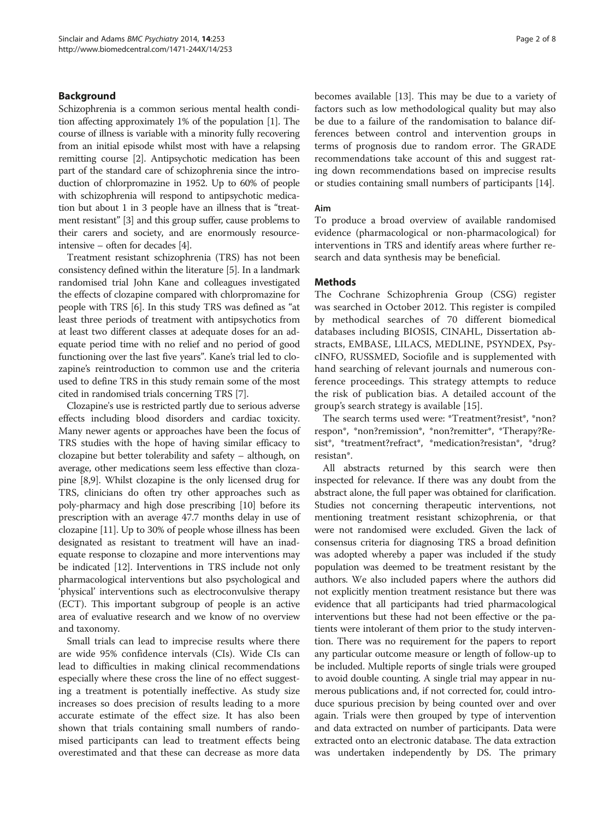# **Background**

Schizophrenia is a common serious mental health condition affecting approximately 1% of the population [[1](#page-6-0)]. The course of illness is variable with a minority fully recovering from an initial episode whilst most with have a relapsing remitting course [\[2](#page-6-0)]. Antipsychotic medication has been part of the standard care of schizophrenia since the introduction of chlorpromazine in 1952. Up to 60% of people with schizophrenia will respond to antipsychotic medication but about 1 in 3 people have an illness that is "treatment resistant" [\[3\]](#page-6-0) and this group suffer, cause problems to their carers and society, and are enormously resourceintensive – often for decades [\[4\]](#page-6-0).

Treatment resistant schizophrenia (TRS) has not been consistency defined within the literature [\[5\]](#page-6-0). In a landmark randomised trial John Kane and colleagues investigated the effects of clozapine compared with chlorpromazine for people with TRS [[6\]](#page-6-0). In this study TRS was defined as "at least three periods of treatment with antipsychotics from at least two different classes at adequate doses for an adequate period time with no relief and no period of good functioning over the last five years". Kane's trial led to clozapine's reintroduction to common use and the criteria used to define TRS in this study remain some of the most cited in randomised trials concerning TRS [\[7\]](#page-6-0).

Clozapine's use is restricted partly due to serious adverse effects including blood disorders and cardiac toxicity. Many newer agents or approaches have been the focus of TRS studies with the hope of having similar efficacy to clozapine but better tolerability and safety – although, on average, other medications seem less effective than clozapine [[8,9](#page-6-0)]. Whilst clozapine is the only licensed drug for TRS, clinicians do often try other approaches such as poly-pharmacy and high dose prescribing [\[10\]](#page-6-0) before its prescription with an average 47.7 months delay in use of clozapine [[11\]](#page-6-0). Up to 30% of people whose illness has been designated as resistant to treatment will have an inadequate response to clozapine and more interventions may be indicated [\[12](#page-6-0)]. Interventions in TRS include not only pharmacological interventions but also psychological and 'physical' interventions such as electroconvulsive therapy (ECT). This important subgroup of people is an active area of evaluative research and we know of no overview and taxonomy.

Small trials can lead to imprecise results where there are wide 95% confidence intervals (CIs). Wide CIs can lead to difficulties in making clinical recommendations especially where these cross the line of no effect suggesting a treatment is potentially ineffective. As study size increases so does precision of results leading to a more accurate estimate of the effect size. It has also been shown that trials containing small numbers of randomised participants can lead to treatment effects being overestimated and that these can decrease as more data becomes available [[13\]](#page-6-0). This may be due to a variety of factors such as low methodological quality but may also be due to a failure of the randomisation to balance differences between control and intervention groups in terms of prognosis due to random error. The GRADE recommendations take account of this and suggest rating down recommendations based on imprecise results or studies containing small numbers of participants [\[14\]](#page-6-0).

# Aim

To produce a broad overview of available randomised evidence (pharmacological or non-pharmacological) for interventions in TRS and identify areas where further research and data synthesis may be beneficial.

# Methods

The Cochrane Schizophrenia Group (CSG) register was searched in October 2012. This register is compiled by methodical searches of 70 different biomedical databases including BIOSIS, CINAHL, Dissertation abstracts, EMBASE, LILACS, MEDLINE, PSYNDEX, PsycINFO, RUSSMED, Sociofile and is supplemented with hand searching of relevant journals and numerous conference proceedings. This strategy attempts to reduce the risk of publication bias. A detailed account of the group's search strategy is available [[15](#page-6-0)].

The search terms used were: \*Treatment?resist\*, \*non? respon\*, \*non?remission\*, \*non?remitter\*, \*Therapy?Resist\*, \*treatment?refract\*, \*medication?resistan\*, \*drug? resistan\*.

All abstracts returned by this search were then inspected for relevance. If there was any doubt from the abstract alone, the full paper was obtained for clarification. Studies not concerning therapeutic interventions, not mentioning treatment resistant schizophrenia, or that were not randomised were excluded. Given the lack of consensus criteria for diagnosing TRS a broad definition was adopted whereby a paper was included if the study population was deemed to be treatment resistant by the authors. We also included papers where the authors did not explicitly mention treatment resistance but there was evidence that all participants had tried pharmacological interventions but these had not been effective or the patients were intolerant of them prior to the study intervention. There was no requirement for the papers to report any particular outcome measure or length of follow-up to be included. Multiple reports of single trials were grouped to avoid double counting. A single trial may appear in numerous publications and, if not corrected for, could introduce spurious precision by being counted over and over again. Trials were then grouped by type of intervention and data extracted on number of participants. Data were extracted onto an electronic database. The data extraction was undertaken independently by DS. The primary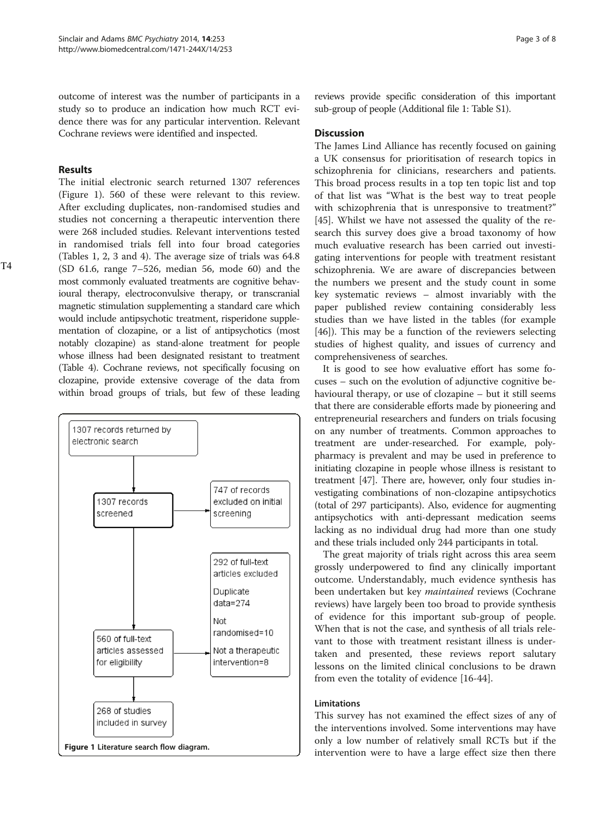outcome of interest was the number of participants in a study so to produce an indication how much RCT evidence there was for any particular intervention. Relevant Cochrane reviews were identified and inspected.

# Results

The initial electronic search returned 1307 references (Figure 1). 560 of these were relevant to this review. After excluding duplicates, non-randomised studies and studies not concerning a therapeutic intervention there were 268 included studies. Relevant interventions tested in randomised trials fell into four broad categories (Tables [1, 2](#page-3-0), [3](#page-4-0) and [4\)](#page-5-0). The average size of trials was 64.8 (SD 61.6, range 7–526, median 56, mode 60) and the most commonly evaluated treatments are cognitive behavioural therapy, electroconvulsive therapy, or transcranial magnetic stimulation supplementing a standard care which would include antipsychotic treatment, risperidone supplementation of clozapine, or a list of antipsychotics (most notably clozapine) as stand-alone treatment for people whose illness had been designated resistant to treatment (Table [4](#page-5-0)). Cochrane reviews, not specifically focusing on clozapine, provide extensive coverage of the data from within broad groups of trials, but few of these leading



reviews provide specific consideration of this important sub-group of people (Additional file [1](#page-6-0): Table S1).

# **Discussion**

The James Lind Alliance has recently focused on gaining a UK consensus for prioritisation of research topics in schizophrenia for clinicians, researchers and patients. This broad process results in a top ten topic list and top of that list was "What is the best way to treat people with schizophrenia that is unresponsive to treatment?" [[45\]](#page-7-0). Whilst we have not assessed the quality of the research this survey does give a broad taxonomy of how much evaluative research has been carried out investigating interventions for people with treatment resistant schizophrenia. We are aware of discrepancies between the numbers we present and the study count in some key systematic reviews – almost invariably with the paper published review containing considerably less studies than we have listed in the tables (for example [[46\]](#page-7-0)). This may be a function of the reviewers selecting studies of highest quality, and issues of currency and comprehensiveness of searches.

It is good to see how evaluative effort has some focuses – such on the evolution of adjunctive cognitive behavioural therapy, or use of clozapine – but it still seems that there are considerable efforts made by pioneering and entrepreneurial researchers and funders on trials focusing on any number of treatments. Common approaches to treatment are under-researched. For example, polypharmacy is prevalent and may be used in preference to initiating clozapine in people whose illness is resistant to treatment [[47](#page-7-0)]. There are, however, only four studies investigating combinations of non-clozapine antipsychotics (total of 297 participants). Also, evidence for augmenting antipsychotics with anti-depressant medication seems lacking as no individual drug had more than one study and these trials included only 244 participants in total.

The great majority of trials right across this area seem grossly underpowered to find any clinically important outcome. Understandably, much evidence synthesis has been undertaken but key *maintained* reviews (Cochrane reviews) have largely been too broad to provide synthesis of evidence for this important sub-group of people. When that is not the case, and synthesis of all trials relevant to those with treatment resistant illness is undertaken and presented, these reviews report salutary lessons on the limited clinical conclusions to be drawn from even the totality of evidence [[16](#page-6-0)[-44](#page-7-0)].

#### Limitations

This survey has not examined the effect sizes of any of the interventions involved. Some interventions may have only a low number of relatively small RCTs but if the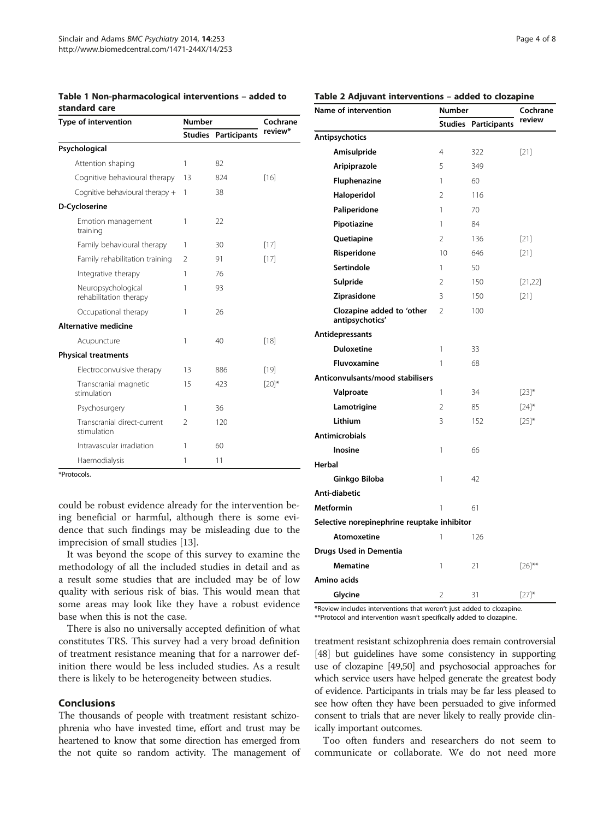| <b>Type of intervention</b>                  | <b>Number</b>  |                             | Cochrane |
|----------------------------------------------|----------------|-----------------------------|----------|
|                                              |                | <b>Studies Participants</b> | review*  |
| Psychological                                |                |                             |          |
| Attention shaping                            | 1              | 82                          |          |
| Cognitive behavioural therapy                | 13             | 824                         | $[16]$   |
| Cognitive behavioural therapy +              | 1              | 38                          |          |
| D-Cycloserine                                |                |                             |          |
| Emotion management<br>training               | 1              | 22                          |          |
| Family behavioural therapy                   | 1              | 30                          | $[17]$   |
| Family rehabilitation training               | $\mathfrak{D}$ | 91                          | $[17]$   |
| Integrative therapy                          | 1              | 76                          |          |
| Neuropsychological<br>rehabilitation therapy | 1              | 93                          |          |
| Occupational therapy                         | 1              | 26                          |          |
| Alternative medicine                         |                |                             |          |
| Acupuncture                                  | 1              | 40                          | $[18]$   |
| <b>Physical treatments</b>                   |                |                             |          |
| Electroconvulsive therapy                    | 13             | 886                         | $[19]$   |
| Transcranial magnetic<br>stimulation         | 15             | 423                         | $[20]$ * |
| Psychosurgery                                | 1              | 36                          |          |
| Transcranial direct-current<br>stimulation   | $\mathfrak{D}$ | 120                         |          |
| Intravascular irradiation                    | 1              | 60                          |          |
| Haemodialysis                                | 1              | 11                          |          |

<span id="page-3-0"></span>Table 1 Non-pharmacological interventions – added to standard care

#### Table 2 Adjuvant interventions – added to clozapine

Name of intervention  $\frac{Number}{C}$  Cochrane

Studies Participants

| Antipsychotics                               |                |     |             |  |
|----------------------------------------------|----------------|-----|-------------|--|
| Amisulpride                                  | 4              | 322 | [21]        |  |
| Aripiprazole                                 | 5              | 349 |             |  |
| Fluphenazine                                 | 1              | 60  |             |  |
| Haloperidol                                  | $\overline{2}$ | 116 |             |  |
| Paliperidone                                 | 1              | 70  |             |  |
| Pipotiazine                                  | 1              | 84  |             |  |
| Quetiapine                                   | $\overline{2}$ | 136 | [21]        |  |
| Risperidone                                  | 10             | 646 | [21]        |  |
| <b>Sertindole</b>                            | 1              | 50  |             |  |
| Sulpride                                     | $\overline{2}$ | 150 | [21, 22]    |  |
| Ziprasidone                                  | 3              | 150 | [21]        |  |
| Clozapine added to 'other<br>antipsychotics' | $\overline{2}$ | 100 |             |  |
| Antidepressants                              |                |     |             |  |
| <b>Duloxetine</b>                            | 1              | 33  |             |  |
| Fluvoxamine                                  | 1              | 68  |             |  |
| Anticonvulsants/mood stabilisers             |                |     |             |  |
| Valproate                                    | 1              | 34  | $[23]$ *    |  |
| Lamotrigine                                  | $\overline{2}$ | 85  | $[24]^*$    |  |
| Lithium                                      | 3              | 152 | $[25]^{*}$  |  |
| <b>Antimicrobials</b>                        |                |     |             |  |
| Inosine                                      | 1              | 66  |             |  |
| <b>Herbal</b>                                |                |     |             |  |
| Ginkgo Biloba                                | 1              | 42  |             |  |
| Anti-diabetic                                |                |     |             |  |
| <b>Metformin</b>                             | 1              | 61  |             |  |
| Selective norepinephrine reuptake inhibitor  |                |     |             |  |
| <b>Atomoxetine</b>                           | 1              | 126 |             |  |
| Drugs Used in Dementia                       |                |     |             |  |
| <b>Mematine</b>                              | 1              | 21  | $[26]^{**}$ |  |
| Amino acids                                  |                |     |             |  |
| Glycine                                      | $\overline{2}$ | 31  | $[27]$ *    |  |

\*Review includes interventions that weren't just added to clozapine. \*\*Protocol and intervention wasn't specifically added to clozapine.

treatment resistant schizophrenia does remain controversial [[48](#page-7-0)] but guidelines have some consistency in supporting use of clozapine [\[49,50](#page-7-0)] and psychosocial approaches for which service users have helped generate the greatest body of evidence. Participants in trials may be far less pleased to see how often they have been persuaded to give informed consent to trials that are never likely to really provide clinically important outcomes.

Too often funders and researchers do not seem to communicate or collaborate. We do not need more

#### \*Protocols.

could be robust evidence already for the intervention being beneficial or harmful, although there is some evidence that such findings may be misleading due to the imprecision of small studies [\[13](#page-6-0)].

It was beyond the scope of this survey to examine the methodology of all the included studies in detail and as a result some studies that are included may be of low quality with serious risk of bias. This would mean that some areas may look like they have a robust evidence base when this is not the case.

There is also no universally accepted definition of what constitutes TRS. This survey had a very broad definition of treatment resistance meaning that for a narrower definition there would be less included studies. As a result there is likely to be heterogeneity between studies.

#### Conclusions

The thousands of people with treatment resistant schizophrenia who have invested time, effort and trust may be heartened to know that some direction has emerged from the not quite so random activity. The management of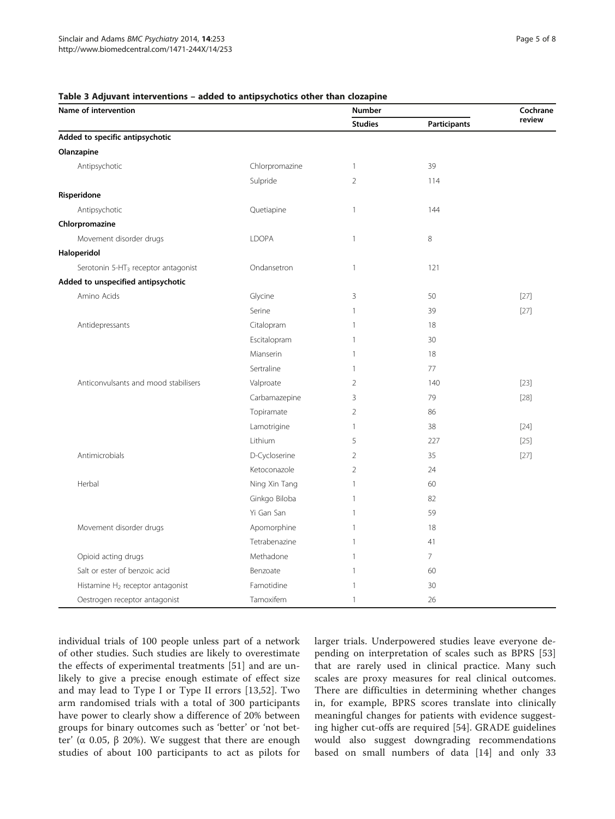| Name of intervention                            |                | Number         |                | Cochrane |
|-------------------------------------------------|----------------|----------------|----------------|----------|
|                                                 |                | <b>Studies</b> | Participants   | review   |
| Added to specific antipsychotic                 |                |                |                |          |
| Olanzapine                                      |                |                |                |          |
| Antipsychotic                                   | Chlorpromazine | $\mathbf{1}$   | 39             |          |
|                                                 | Sulpride       | $\overline{2}$ | 114            |          |
| Risperidone                                     |                |                |                |          |
| Antipsychotic                                   | Quetiapine     | $\mathbf{1}$   | 144            |          |
| Chlorpromazine                                  |                |                |                |          |
| Movement disorder drugs                         | <b>LDOPA</b>   | $\mathbf{1}$   | $\,8\,$        |          |
| Haloperidol                                     |                |                |                |          |
| Serotonin 5-HT <sub>3</sub> receptor antagonist | Ondansetron    | $\mathbf{1}$   | 121            |          |
| Added to unspecified antipsychotic              |                |                |                |          |
| Amino Acids                                     | Glycine        | 3              | 50             | $[27]$   |
|                                                 | Serine         | 1              | 39             | $[27]$   |
| Antidepressants                                 | Citalopram     | 1              | 18             |          |
|                                                 | Escitalopram   | 1              | 30             |          |
|                                                 | Mianserin      | $\mathbf{1}$   | 18             |          |
|                                                 | Sertraline     | $\mathbf{1}$   | 77             |          |
| Anticonvulsants and mood stabilisers            | Valproate      | $\overline{2}$ | 140            | $[23]$   |
|                                                 | Carbamazepine  | 3              | 79             | $[28]$   |
|                                                 | Topiramate     | $\overline{2}$ | 86             |          |
|                                                 | Lamotrigine    | $\mathbf{1}$   | 38             | $[24]$   |
|                                                 | Lithium        | 5              | 227            | $[25]$   |
| Antimicrobials                                  | D-Cycloserine  | $\overline{2}$ | 35             | $[27]$   |
|                                                 | Ketoconazole   | $\overline{2}$ | 24             |          |
| Herbal                                          | Ning Xin Tang  | 1              | 60             |          |
|                                                 | Ginkgo Biloba  | $\mathbf{1}$   | 82             |          |
|                                                 | Yi Gan San     | $\mathbf{1}$   | 59             |          |
| Movement disorder drugs                         | Apomorphine    | 1              | 18             |          |
|                                                 | Tetrabenazine  | 1              | 41             |          |
| Opioid acting drugs                             | Methadone      | 1              | $\overline{7}$ |          |
| Salt or ester of benzoic acid                   | Benzoate       | $\mathbf{1}$   | 60             |          |
| Histamine $H_2$ receptor antagonist             | Famotidine     | $\mathbf{1}$   | 30             |          |
| Oestrogen receptor antagonist                   | Tamoxifem      | $\mathbf{1}$   | 26             |          |

# <span id="page-4-0"></span>Table 3 Adjuvant interventions – added to antipsychotics other than clozapine

individual trials of 100 people unless part of a network of other studies. Such studies are likely to overestimate the effects of experimental treatments [\[51](#page-7-0)] and are unlikely to give a precise enough estimate of effect size and may lead to Type I or Type II errors [\[13](#page-6-0),[52\]](#page-7-0). Two arm randomised trials with a total of 300 participants have power to clearly show a difference of 20% between groups for binary outcomes such as 'better' or 'not better' (α 0.05, β 20%). We suggest that there are enough studies of about 100 participants to act as pilots for larger trials. Underpowered studies leave everyone depending on interpretation of scales such as BPRS [\[53](#page-7-0)] that are rarely used in clinical practice. Many such scales are proxy measures for real clinical outcomes. There are difficulties in determining whether changes in, for example, BPRS scores translate into clinically meaningful changes for patients with evidence suggesting higher cut-offs are required [[54\]](#page-7-0). GRADE guidelines would also suggest downgrading recommendations based on small numbers of data [[14\]](#page-6-0) and only 33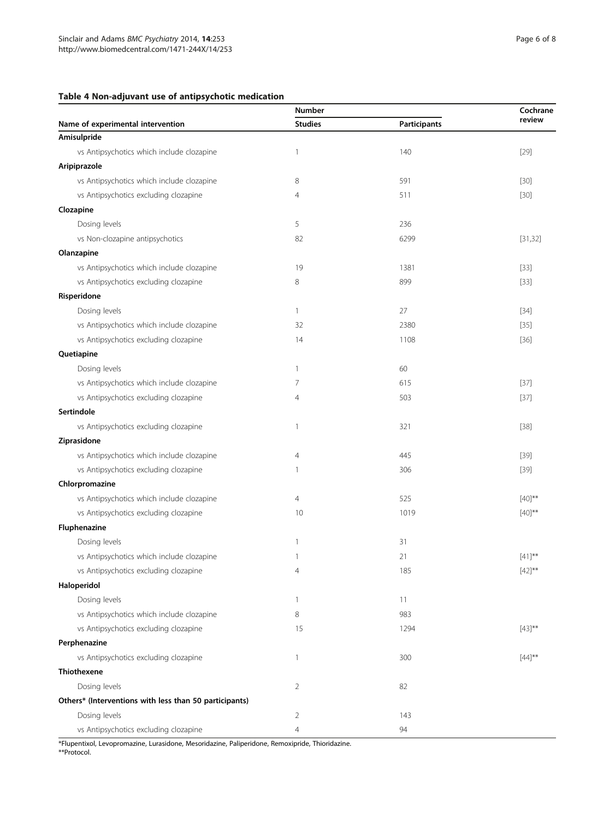# <span id="page-5-0"></span>Table 4 Non-adjuvant use of antipsychotic medication

|                                                        | <b>Number</b>  | Cochrane     |           |  |
|--------------------------------------------------------|----------------|--------------|-----------|--|
| Name of experimental intervention                      | <b>Studies</b> | Participants | review    |  |
| Amisulpride                                            |                |              |           |  |
| vs Antipsychotics which include clozapine              | $\mathbf{1}$   | 140          | $[29]$    |  |
| Aripiprazole                                           |                |              |           |  |
| vs Antipsychotics which include clozapine              | 8              | 591          | $[30]$    |  |
| vs Antipsychotics excluding clozapine                  | $\overline{4}$ | 511          | $[30]$    |  |
| Clozapine                                              |                |              |           |  |
| Dosing levels                                          | 5              | 236          |           |  |
| vs Non-clozapine antipsychotics                        | 82             | 6299         | [31, 32]  |  |
| Olanzapine                                             |                |              |           |  |
| vs Antipsychotics which include clozapine              | 19             | 1381         | $[33]$    |  |
| vs Antipsychotics excluding clozapine                  | 8              | 899          | $[33]$    |  |
| Risperidone                                            |                |              |           |  |
| Dosing levels                                          | $\mathbf{1}$   | 27           | $[34]$    |  |
| vs Antipsychotics which include clozapine              | 32             | 2380         | $[35]$    |  |
| vs Antipsychotics excluding clozapine                  | 14             | 1108         | $[36]$    |  |
| Quetiapine                                             |                |              |           |  |
| Dosing levels                                          | 1              | 60           |           |  |
| vs Antipsychotics which include clozapine              | 7              | 615          | $[37]$    |  |
| vs Antipsychotics excluding clozapine                  | $\overline{4}$ | 503          | $[37]$    |  |
| Sertindole                                             |                |              |           |  |
| vs Antipsychotics excluding clozapine                  | $\mathbf{1}$   | 321          | $[38]$    |  |
| Ziprasidone                                            |                |              |           |  |
| vs Antipsychotics which include clozapine              | 4              | 445          | $[39]$    |  |
| vs Antipsychotics excluding clozapine                  | $\mathbf{1}$   | 306          | $[39]$    |  |
| Chlorpromazine                                         |                |              |           |  |
| vs Antipsychotics which include clozapine              | $\overline{4}$ | 525          | $[40]$ ** |  |
| vs Antipsychotics excluding clozapine                  | 10             | 1019         | $[40]$ ** |  |
| Fluphenazine                                           |                |              |           |  |
| Dosing levels                                          | $\mathbf{1}$   | 31           |           |  |
| vs Antipsychotics which include clozapine              | $\mathbf{1}$   | 21           | $[41]$ ** |  |
| vs Antipsychotics excluding clozapine                  | 4              | 185          | $[42]$ ** |  |
| Haloperidol                                            |                |              |           |  |
| Dosing levels                                          | $\mathbf{1}$   | 11           |           |  |
| vs Antipsychotics which include clozapine              | 8              | 983          |           |  |
| vs Antipsychotics excluding clozapine                  | 15             | 1294         | $[43]$ ** |  |
| Perphenazine                                           |                |              |           |  |
| vs Antipsychotics excluding clozapine                  | $\mathbf{1}$   | 300          | $[44]$ ** |  |
| <b>Thiothexene</b>                                     |                |              |           |  |
| Dosing levels                                          | 2              | 82           |           |  |
| Others* (Interventions with less than 50 participants) |                |              |           |  |
| Dosing levels                                          | $\overline{2}$ | 143          |           |  |
| vs Antipsychotics excluding clozapine                  | 4              | 94           |           |  |

\*Flupentixol, Levopromazine, Lurasidone, Mesoridazine, Paliperidone, Remoxipride, Thioridazine.

\*\*Protocol.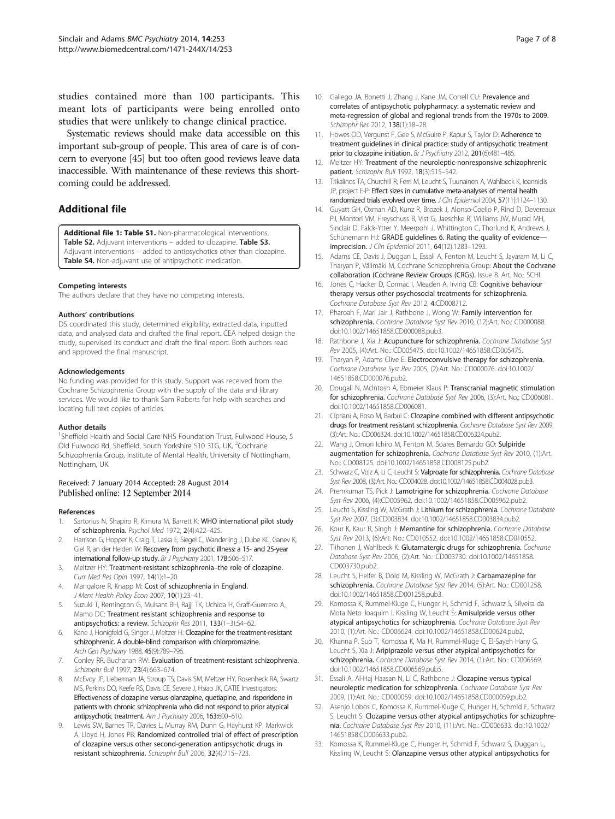<span id="page-6-0"></span>studies contained more than 100 participants. This meant lots of participants were being enrolled onto studies that were unlikely to change clinical practice.

Systematic reviews should make data accessible on this important sub-group of people. This area of care is of concern to everyone [\[45\]](#page-7-0) but too often good reviews leave data inaccessible. With maintenance of these reviews this shortcoming could be addressed.

# Additional file

[Additional file 1: Table S1.](http://www.biomedcentral.com/content/supplementary/s12888-014-0253-4-s1.docx) Non-pharmacological interventions. Table S2. Adjuvant interventions - added to clozapine. Table S3. Adjuvant interventions – added to antipsychotics other than clozapine. Table S4. Non-adjuvant use of antipsychotic medication.

#### Competing interests

The authors declare that they have no competing interests.

#### Authors' contributions

DS coordinated this study, determined eligibility, extracted data, inputted data, and analysed data and drafted the final report. CEA helped design the study, supervised its conduct and draft the final report. Both authors read and approved the final manuscript.

#### Acknowledgements

No funding was provided for this study. Support was received from the Cochrane Schizophrenia Group with the supply of the data and library services. We would like to thank Sam Roberts for help with searches and locating full text copies of articles.

#### Author details

<sup>1</sup>Sheffield Health and Social Care NHS Foundation Trust, Fullwood House, 5 Old Fulwood Rd, Sheffield, South Yorkshire S10 3TG, UK. <sup>2</sup>Cochrane Schizophrenia Group, Institute of Mental Health, University of Nottingham, Nottingham, UK.

#### Received: 7 January 2014 Accepted: 28 August 2014 Published online: 12 September 2014

#### References

- Sartorius N, Shapiro R, Kimura M, Barrett K: WHO international pilot study of schizophrenia. Psychol Med 1972, 2(4):422–425.
- Harrison G, Hopper K, Craig T, Laska E, Siegel C, Wanderling J, Dube KC, Ganev K, Giel R, an der Heiden W: Recovery from psychotic illness: a 15- and 25-year international follow-up study. Br J Psychiatry 2001, 178:506–517.
- 3. Meltzer HY: Treatment-resistant schizophrenia–the role of clozapine. Curr Med Res Opin 1997, 14(1):1–20.
- 4. Mangalore R, Knapp M: Cost of schizophrenia in England. J Ment Health Policy Econ 2007, 10(1):23–41.
- 5. Suzuki T, Remington G, Mulsant BH, Rajji TK, Uchida H, Graff-Guerrero A, Mamo DC: Treatment resistant schizophrenia and response to antipsychotics: a review. Schizophr Res 2011, 133(1–3):54–62.
- 6. Kane J, Honigfeld G, Singer J, Meltzer H: Clozapine for the treatment-resistant schizophrenic. A double-blind comparison with chlorpromazine. Arch Gen Psychiatry 1988, 45(9):789–796.
- 7. Conley RR, Buchanan RW: Evaluation of treatment-resistant schizophrenia. Schizophr Bull 1997, 23(4):663–674.
- 8. McEvoy JP, Lieberman JA, Stroup TS, Davis SM, Meltzer HY, Rosenheck RA, Swartz MS, Perkins DO, Keefe RS, Davis CE, Severe J, Hsiao JK, CATIE Investigators: Effectiveness of clozapine versus olanzapine, quetiapine, and risperidone in patients with chronic schizophrenia who did not respond to prior atypical antipsychotic treatment. Am J Psychiatry 2006, 163:600-610.
- Lewis SW, Barnes TR, Davies L, Murray RM, Dunn G, Hayhurst KP, Markwick A, Lloyd H, Jones PB: Randomized controlled trial of effect of prescription of clozapine versus other second-generation antipsychotic drugs in resistant schizophrenia. Schizophr Bull 2006, 32(4):715–723.
- 10. Gallego JA, Bonetti J, Zhang J, Kane JM, Correll CU: Prevalence and correlates of antipsychotic polypharmacy: a systematic review and meta-regression of global and regional trends from the 1970s to 2009.
- Schizophr Res 2012, 138(1):18-28. 11. Howes OD, Vergunst F, Gee S, McGuire P, Kapur S, Taylor D: Adherence to treatment guidelines in clinical practice: study of antipsychotic treatment prior to clozapine initiation. Br J Psychiatry 2012, 201(6):481-485.
- 12. Meltzer HY: Treatment of the neuroleptic-nonresponsive schizophrenic patient. Schizophr Bull 1992, 18(3):515–542.
- 13. Trikalinos TA, Churchill R, Ferri M, Leucht S, Tuunainen A, Wahlbeck K, Ioannidis JP, project E-P: Effect sizes in cumulative meta-analyses of mental health randomized trials evolved over time. J Clin Epidemiol 2004, 57(11):1124–1130.
- 14. Guyatt GH, Oxman AD, Kunz R, Brozek J, Alonso-Coello P, Rind D, Devereaux PJ, Montori VM, Freyschuss B, Vist G, Jaeschke R, Williams JW, Murad MH, Sinclair D, Falck-Ytter Y, Meerpohl J, Whittington C, Thorlund K, Andrews J, Schünemann HJ: GRADE guidelines 6. Rating the quality of evidenceimprecision. J Clin Epidemiol 2011, 64(12):1283–1293.
- 15. Adams CE, Davis J, Duggan L, Essali A, Fenton M, Leucht S, Jayaram M, Li C, Tharyan P, Välimäki M, Cochrane Schizophrenia Group: About the Cochrane collaboration (Cochrane Review Groups (CRGs). Issue 8. Art. No.: SCHI.
- 16. Jones C, Hacker D, Cormac J, Meaden A, Irving CB: Cognitive behaviour therapy versus other psychosocial treatments for schizophrenia. Cochrane Database Syst Rev 2012, 4:CD008712.
- 17. Pharoah F, Mari Jair J, Rathbone J, Wong W: Family intervention for schizophrenia. Cochrane Database Syst Rev 2010, (12):Art. No.: CD000088. doi:10.1002/14651858.CD000088.pub3.
- 18. Rathbone J, Xia J: Acupuncture for schizophrenia. Cochrane Database Syst Rev 2005, (4):Art. No.: CD005475. doi:10.1002/14651858.CD005475.
- 19. Tharyan P, Adams Clive E: Electroconvulsive therapy for schizophrenia. Cochrane Database Syst Rev 2005, (2):Art. No.: CD000076. doi:10.1002/ 14651858.CD000076.pub2.
- 20. Dougall N, McIntosh A, Ebmeier Klaus P: Transcranial magnetic stimulation for schizophrenia. Cochrane Database Syst Rev 2006, (3):Art. No.: CD006081. doi:10.1002/14651858.CD006081.
- 21. Cipriani A, Boso M, Barbui C: Clozapine combined with different antipsychotic drugs for treatment resistant schizophrenia. Cochrane Database Syst Rev 2009, (3):Art. No.: CD006324. doi:10.1002/14651858.CD006324.pub2.
- 22. Wang J, Omori Ichiro M, Fenton M, Soares Bernardo GO: Sulpiride augmentation for schizophrenia. Cochrane Database Syst Rev 2010, (1):Art. No.: CD008125. doi:10.1002/14651858.CD008125.pub2.
- 23. Schwarz C, Volz A, Li C, Leucht S: Valproate for schizophrenia. Cochrane Database Syst Rev 2008, (3):Art. No.: CD004028. doi:10.1002/14651858.CD004028.pub3.
- 24. Premkumar TS, Pick J: Lamotrigine for schizophrenia. Cochrane Database Syst Rev 2006, (4):CD005962. doi:10.1002/14651858.CD005962.pub2.
- 25. Leucht S, Kissling W, McGrath J: Lithium for schizophrenia. Cochrane Database Syst Rev 2007, (3):CD003834. doi:10.1002/14651858.CD003834.pub2.
- 26. Kour K, Kaur R, Singh J: Memantine for schizophrenia. Cochrane Database Syst Rev 2013, (6):Art. No.: CD010552. doi:10.1002/14651858.CD010552.
- 27. Tiihonen J, Wahlbeck K: Glutamatergic drugs for schizophrenia. Cochrane Database Syst Rev 2006, (2):Art. No.: CD003730. doi:10.1002/14651858. CD003730.pub2.
- 28. Leucht S, Helfer B, Dold M, Kissling W, McGrath J: Carbamazepine for schizophrenia. Cochrane Database Syst Rev 2014, (5):Art. No.: CD001258. doi:10.1002/14651858.CD001258.pub3.
- 29. Komossa K, Rummel-Kluge C, Hunger H, Schmid F, Schwarz S, Silveira da Mota Neto Joaquim I, Kissling W, Leucht S: Amisulpride versus other atypical antipsychotics for schizophrenia. Cochrane Database Syst Rev 2010, (1):Art. No.: CD006624. doi:10.1002/14651858.CD00624.pub2.
- 30. Khanna P, Suo T, Komossa K, Ma H, Rummel-Kluge C, El-Sayeh Hany G, Leucht S, Xia J: Aripiprazole versus other atypical antipsychotics for schizophrenia. Cochrane Database Syst Rev 2014, (1):Art. No.: CD006569. doi:10.1002/14651858.CD006569.pub5.
- 31. Essali A, Al-Haj Haasan N, Li C, Rathbone J: Clozapine versus typical neuroleptic medication for schizophrenia. Cochrane Database Syst Rev 2009, (1):Art. No.: CD000059. doi:10.1002/14651858.CD000059.pub2.
- 32. Asenjo Lobos C, Komossa K, Rummel-Kluge C, Hunger H, Schmid F, Schwarz S, Leucht S: Clozapine versus other atypical antipsychotics for schizophrenia. Cochrane Database Syst Rev 2010, (11):Art. No.: CD006633. doi:10.1002/ 14651858.CD006633.pub2.
- 33. Komossa K, Rummel-Kluge C, Hunger H, Schmid F, Schwarz S, Duggan L, Kissling W, Leucht S: Olanzapine versus other atypical antipsychotics for